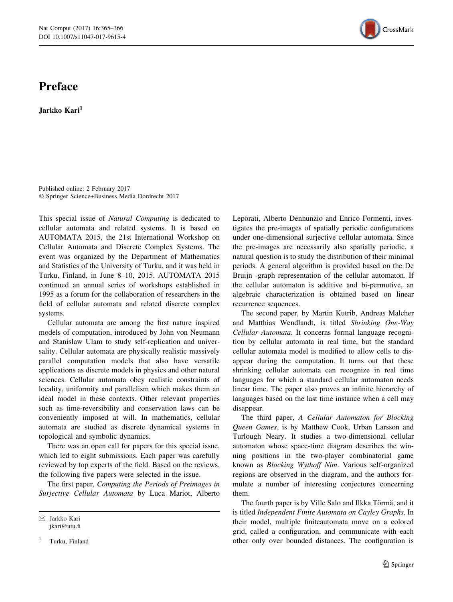## Preface

Jarkko Kari<sup>1</sup>

Published online: 2 February 2017 - Springer Science+Business Media Dordrecht 2017

This special issue of Natural Computing is dedicated to cellular automata and related systems. It is based on AUTOMATA 2015, the 21st International Workshop on Cellular Automata and Discrete Complex Systems. The event was organized by the Department of Mathematics and Statistics of the University of Turku, and it was held in Turku, Finland, in June 8–10, 2015. AUTOMATA 2015 continued an annual series of workshops established in 1995 as a forum for the collaboration of researchers in the field of cellular automata and related discrete complex systems.

Cellular automata are among the first nature inspired models of computation, introduced by John von Neumann and Stanislaw Ulam to study self-replication and universality. Cellular automata are physically realistic massively parallel computation models that also have versatile applications as discrete models in physics and other natural sciences. Cellular automata obey realistic constraints of locality, uniformity and parallelism which makes them an ideal model in these contexts. Other relevant properties such as time-reversibility and conservation laws can be conveniently imposed at will. In mathematics, cellular automata are studied as discrete dynamical systems in topological and symbolic dynamics.

There was an open call for papers for this special issue, which led to eight submissions. Each paper was carefully reviewed by top experts of the field. Based on the reviews, the following five papers were selected in the issue.

The first paper, Computing the Periods of Preimages in Surjective Cellular Automata by Luca Mariot, Alberto

Turku, Finland

Leporati, Alberto Dennunzio and Enrico Formenti, investigates the pre-images of spatially periodic configurations under one-dimensional surjective cellular automata. Since the pre-images are necessarily also spatially periodic, a natural question is to study the distribution of their minimal periods. A general algorithm is provided based on the De Bruijn -graph representation of the cellular automaton. If the cellular automaton is additive and bi-permutive, an algebraic characterization is obtained based on linear recurrence sequences.

The second paper, by Martin Kutrib, Andreas Malcher and Matthias Wendlandt, is titled Shrinking One-Way Cellular Automata. It concerns formal language recognition by cellular automata in real time, but the standard cellular automata model is modified to allow cells to disappear during the computation. It turns out that these shrinking cellular automata can recognize in real time languages for which a standard cellular automaton needs linear time. The paper also proves an infinite hierarchy of languages based on the last time instance when a cell may disappear.

The third paper, A Cellular Automaton for Blocking Queen Games, is by Matthew Cook, Urban Larsson and Turlough Neary. It studies a two-dimensional cellular automaton whose space-time diagram describes the winning positions in the two-player combinatorial game known as Blocking Wythoff Nim. Various self-organized regions are observed in the diagram, and the authors formulate a number of interesting conjectures concerning them.

The fourth paper is by Ville Salo and Ilkka Törmä, and it is titled Independent Finite Automata on Cayley Graphs. In their model, multiple finiteautomata move on a colored grid, called a configuration, and communicate with each other only over bounded distances. The configuration is



 $\boxtimes$  Jarkko Kari jkari@utu.fi